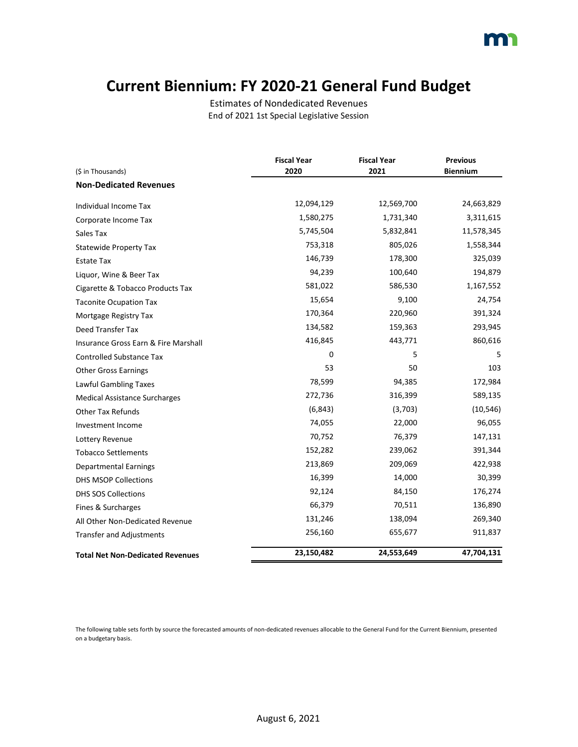#### **Current Biennium: FY 2020-21 General Fund Budget**

Estimates of Nondedicated Revenues End of 2021 1st Special Legislative Session

|                                         | <b>Fiscal Year</b> | <b>Fiscal Year</b> | <b>Previous</b> |
|-----------------------------------------|--------------------|--------------------|-----------------|
| (\$ in Thousands)                       | 2020               | 2021               | <b>Biennium</b> |
| <b>Non-Dedicated Revenues</b>           |                    |                    |                 |
| Individual Income Tax                   | 12,094,129         | 12,569,700         | 24,663,829      |
| Corporate Income Tax                    | 1,580,275          | 1,731,340          | 3,311,615       |
| Sales Tax                               | 5,745,504          | 5,832,841          | 11,578,345      |
| <b>Statewide Property Tax</b>           | 753,318            | 805,026            | 1,558,344       |
| Estate Tax                              | 146,739            | 178,300            | 325,039         |
| Liquor, Wine & Beer Tax                 | 94,239             | 100,640            | 194,879         |
| Cigarette & Tobacco Products Tax        | 581,022            | 586,530            | 1,167,552       |
| <b>Taconite Ocupation Tax</b>           | 15,654             | 9,100              | 24,754          |
| Mortgage Registry Tax                   | 170,364            | 220,960            | 391,324         |
| Deed Transfer Tax                       | 134,582            | 159,363            | 293,945         |
| Insurance Gross Earn & Fire Marshall    | 416,845            | 443,771            | 860,616         |
| <b>Controlled Substance Tax</b>         | 0                  | 5                  | 5               |
| <b>Other Gross Earnings</b>             | 53                 | 50                 | 103             |
| Lawful Gambling Taxes                   | 78,599             | 94,385             | 172,984         |
| <b>Medical Assistance Surcharges</b>    | 272,736            | 316,399            | 589,135         |
| <b>Other Tax Refunds</b>                | (6, 843)           | (3,703)            | (10, 546)       |
| Investment Income                       | 74,055             | 22,000             | 96,055          |
| Lottery Revenue                         | 70,752             | 76,379             | 147,131         |
| <b>Tobacco Settlements</b>              | 152,282            | 239,062            | 391,344         |
| <b>Departmental Earnings</b>            | 213,869            | 209,069            | 422,938         |
| <b>DHS MSOP Collections</b>             | 16,399             | 14,000             | 30,399          |
| <b>DHS SOS Collections</b>              | 92,124             | 84,150             | 176,274         |
| Fines & Surcharges                      | 66,379             | 70,511             | 136,890         |
| All Other Non-Dedicated Revenue         | 131,246            | 138,094            | 269,340         |
| <b>Transfer and Adjustments</b>         | 256,160            | 655,677            | 911,837         |
| <b>Total Net Non-Dedicated Revenues</b> | 23,150,482         | 24,553,649         | 47,704,131      |

The following table sets forth by source the forecasted amounts of non-dedicated revenues allocable to the General Fund for the Current Biennium, presented on a budgetary basis.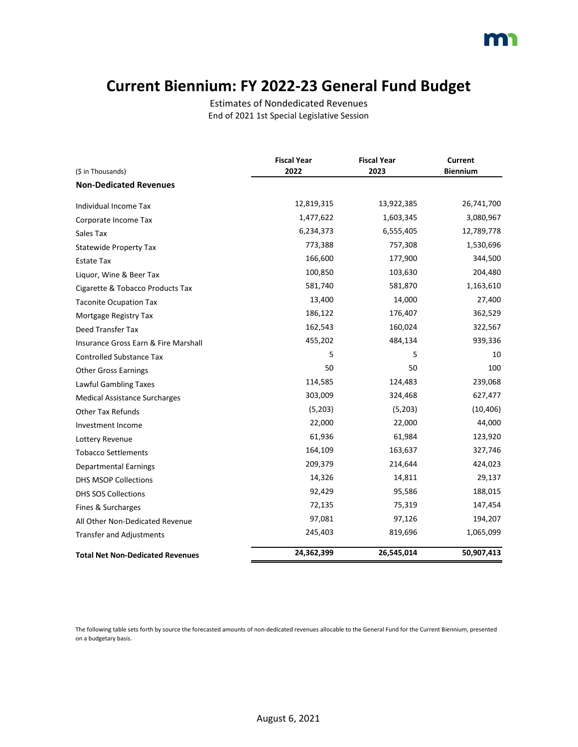#### **Current Biennium: FY 2022-23 General Fund Budget**

Estimates of Nondedicated Revenues End of 2021 1st Special Legislative Session

| (\$ in Thousands)                       | <b>Fiscal Year</b><br>2022 | <b>Fiscal Year</b><br>2023 | <b>Current</b><br><b>Biennium</b> |
|-----------------------------------------|----------------------------|----------------------------|-----------------------------------|
| <b>Non-Dedicated Revenues</b>           |                            |                            |                                   |
|                                         | 12,819,315                 | 13,922,385                 | 26,741,700                        |
| Individual Income Tax                   |                            |                            |                                   |
| Corporate Income Tax                    | 1,477,622                  | 1,603,345                  | 3,080,967                         |
| Sales Tax                               | 6,234,373                  | 6,555,405                  | 12,789,778                        |
| <b>Statewide Property Tax</b>           | 773,388                    | 757,308                    | 1,530,696                         |
| <b>Estate Tax</b>                       | 166,600                    | 177,900                    | 344,500                           |
| Liquor, Wine & Beer Tax                 | 100,850                    | 103,630                    | 204,480                           |
| Cigarette & Tobacco Products Tax        | 581,740                    | 581,870                    | 1,163,610                         |
| <b>Taconite Ocupation Tax</b>           | 13,400                     | 14,000                     | 27,400                            |
| Mortgage Registry Tax                   | 186,122                    | 176,407                    | 362,529                           |
| <b>Deed Transfer Tax</b>                | 162,543                    | 160,024                    | 322,567                           |
| Insurance Gross Earn & Fire Marshall    | 455,202                    | 484,134                    | 939,336                           |
| <b>Controlled Substance Tax</b>         | 5                          | 5                          | 10                                |
| <b>Other Gross Earnings</b>             | 50                         | 50                         | 100                               |
| Lawful Gambling Taxes                   | 114,585                    | 124,483                    | 239,068                           |
| <b>Medical Assistance Surcharges</b>    | 303,009                    | 324,468                    | 627,477                           |
| <b>Other Tax Refunds</b>                | (5,203)                    | (5,203)                    | (10, 406)                         |
| Investment Income                       | 22,000                     | 22,000                     | 44,000                            |
| Lottery Revenue                         | 61,936                     | 61,984                     | 123,920                           |
| <b>Tobacco Settlements</b>              | 164,109                    | 163,637                    | 327,746                           |
| <b>Departmental Earnings</b>            | 209,379                    | 214,644                    | 424,023                           |
| <b>DHS MSOP Collections</b>             | 14,326                     | 14,811                     | 29,137                            |
| <b>DHS SOS Collections</b>              | 92,429                     | 95,586                     | 188,015                           |
| Fines & Surcharges                      | 72,135                     | 75,319                     | 147,454                           |
| All Other Non-Dedicated Revenue         | 97,081                     | 97,126                     | 194,207                           |
| <b>Transfer and Adjustments</b>         | 245,403                    | 819,696                    | 1,065,099                         |
| <b>Total Net Non-Dedicated Revenues</b> | 24,362,399                 | 26,545,014                 | 50,907,413                        |

The following table sets forth by source the forecasted amounts of non-dedicated revenues allocable to the General Fund for the Current Biennium, presented on a budgetary basis.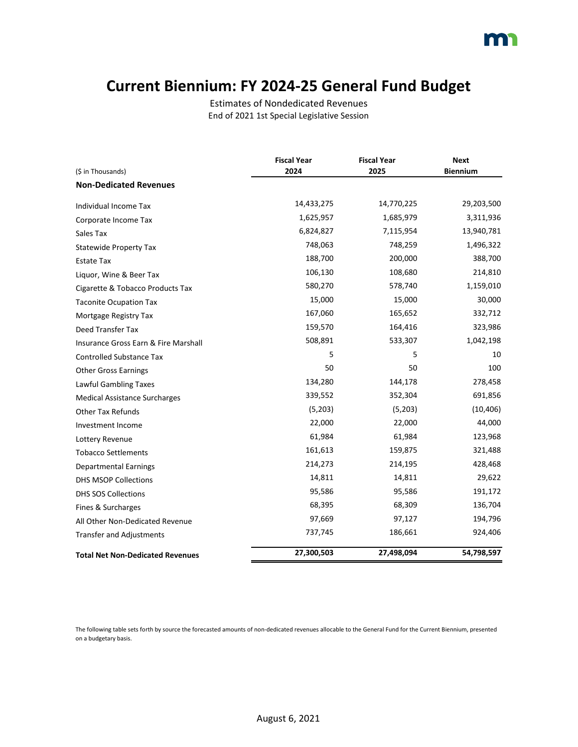#### **Current Biennium: FY 2024-25 General Fund Budget**

Estimates of Nondedicated Revenues End of 2021 1st Special Legislative Session

|                                         | <b>Fiscal Year</b> | <b>Fiscal Year</b> | <b>Next</b>     |
|-----------------------------------------|--------------------|--------------------|-----------------|
| (\$ in Thousands)                       | 2024               | 2025               | <b>Biennium</b> |
| <b>Non-Dedicated Revenues</b>           |                    |                    |                 |
| Individual Income Tax                   | 14,433,275         | 14,770,225         | 29,203,500      |
| Corporate Income Tax                    | 1,625,957          | 1,685,979          | 3,311,936       |
| Sales Tax                               | 6,824,827          | 7,115,954          | 13,940,781      |
| <b>Statewide Property Tax</b>           | 748,063            | 748,259            | 1,496,322       |
| <b>Estate Tax</b>                       | 188,700            | 200,000            | 388,700         |
| Liquor, Wine & Beer Tax                 | 106,130            | 108,680            | 214,810         |
| Cigarette & Tobacco Products Tax        | 580,270            | 578,740            | 1,159,010       |
| <b>Taconite Ocupation Tax</b>           | 15,000             | 15,000             | 30,000          |
| Mortgage Registry Tax                   | 167,060            | 165,652            | 332,712         |
| Deed Transfer Tax                       | 159,570            | 164,416            | 323,986         |
| Insurance Gross Earn & Fire Marshall    | 508,891            | 533,307            | 1,042,198       |
| <b>Controlled Substance Tax</b>         | 5                  | 5                  | 10              |
| <b>Other Gross Earnings</b>             | 50                 | 50                 | 100             |
| Lawful Gambling Taxes                   | 134,280            | 144,178            | 278,458         |
| <b>Medical Assistance Surcharges</b>    | 339,552            | 352,304            | 691,856         |
| <b>Other Tax Refunds</b>                | (5,203)            | (5,203)            | (10, 406)       |
| Investment Income                       | 22,000             | 22,000             | 44,000          |
| Lottery Revenue                         | 61,984             | 61,984             | 123,968         |
| <b>Tobacco Settlements</b>              | 161,613            | 159,875            | 321,488         |
| <b>Departmental Earnings</b>            | 214,273            | 214,195            | 428,468         |
| DHS MSOP Collections                    | 14,811             | 14,811             | 29,622          |
| <b>DHS SOS Collections</b>              | 95,586             | 95,586             | 191,172         |
| Fines & Surcharges                      | 68,395             | 68,309             | 136,704         |
| All Other Non-Dedicated Revenue         | 97,669             | 97,127             | 194,796         |
| <b>Transfer and Adjustments</b>         | 737,745            | 186,661            | 924,406         |
| <b>Total Net Non-Dedicated Revenues</b> | 27,300,503         | 27,498,094         | 54,798,597      |

The following table sets forth by source the forecasted amounts of non-dedicated revenues allocable to the General Fund for the Current Biennium, presented on a budgetary basis.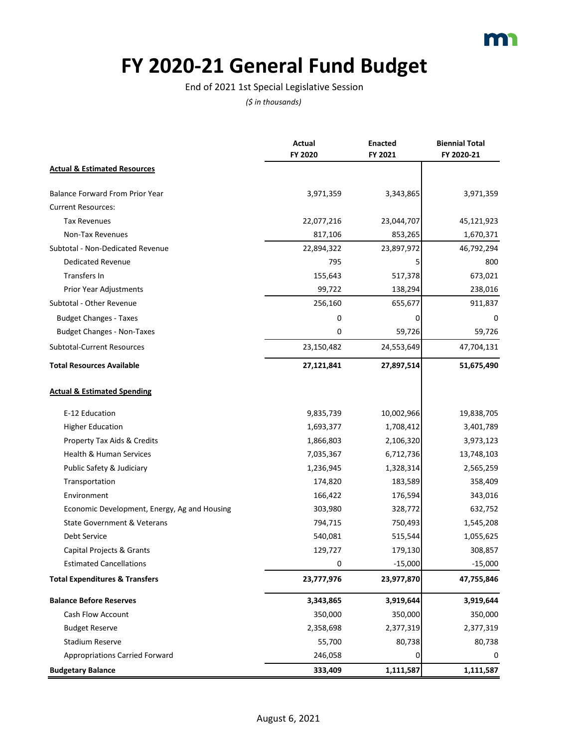

# **FY 2020-21 General Fund Budget**

#### End of 2021 1st Special Legislative Session

|                                              | <b>Actual</b> | <b>Enacted</b> | <b>Biennial Total</b> |
|----------------------------------------------|---------------|----------------|-----------------------|
|                                              | FY 2020       | FY 2021        | FY 2020-21            |
| <b>Actual &amp; Estimated Resources</b>      |               |                |                       |
| <b>Balance Forward From Prior Year</b>       | 3,971,359     | 3,343,865      | 3,971,359             |
| <b>Current Resources:</b>                    |               |                |                       |
| <b>Tax Revenues</b>                          | 22,077,216    | 23,044,707     | 45,121,923            |
| Non-Tax Revenues                             | 817,106       | 853,265        | 1,670,371             |
| Subtotal - Non-Dedicated Revenue             | 22,894,322    | 23,897,972     | 46,792,294            |
| Dedicated Revenue                            | 795           | 5              | 800                   |
| Transfers In                                 | 155,643       | 517,378        | 673,021               |
| Prior Year Adjustments                       | 99,722        | 138,294        | 238,016               |
| Subtotal - Other Revenue                     | 256,160       | 655,677        | 911,837               |
| <b>Budget Changes - Taxes</b>                | 0             |                | 0                     |
| <b>Budget Changes - Non-Taxes</b>            | 0             | 59,726         | 59,726                |
| <b>Subtotal-Current Resources</b>            | 23,150,482    | 24,553,649     | 47,704,131            |
| <b>Total Resources Available</b>             | 27,121,841    | 27,897,514     | 51,675,490            |
| <b>Actual &amp; Estimated Spending</b>       |               |                |                       |
| E-12 Education                               | 9,835,739     | 10,002,966     | 19,838,705            |
| <b>Higher Education</b>                      | 1,693,377     | 1,708,412      | 3,401,789             |
| Property Tax Aids & Credits                  | 1,866,803     | 2,106,320      | 3,973,123             |
| Health & Human Services                      | 7,035,367     | 6,712,736      | 13,748,103            |
| Public Safety & Judiciary                    | 1,236,945     | 1,328,314      | 2,565,259             |
| Transportation                               | 174,820       | 183,589        | 358,409               |
| Environment                                  | 166,422       | 176,594        | 343,016               |
| Economic Development, Energy, Ag and Housing | 303,980       | 328,772        | 632,752               |
| State Government & Veterans                  | 794,715       | 750,493        | 1,545,208             |
| <b>Debt Service</b>                          | 540,081       | 515,544        | 1,055,625             |
| Capital Projects & Grants                    | 129,727       | 179,130        | 308,857               |
| <b>Estimated Cancellations</b>               | U             | $-15,000$      | $-15,000$             |
| <b>Total Expenditures &amp; Transfers</b>    | 23,777,976    | 23,977,870     | 47,755,846            |
| <b>Balance Before Reserves</b>               | 3,343,865     | 3,919,644      | 3,919,644             |
| <b>Cash Flow Account</b>                     | 350,000       | 350,000        | 350,000               |
| <b>Budget Reserve</b>                        | 2,358,698     | 2,377,319      | 2,377,319             |
| <b>Stadium Reserve</b>                       | 55,700        | 80,738         | 80,738                |
| <b>Appropriations Carried Forward</b>        | 246,058       | 0              | 0                     |
| <b>Budgetary Balance</b>                     | 333,409       | 1,111,587      | 1,111,587             |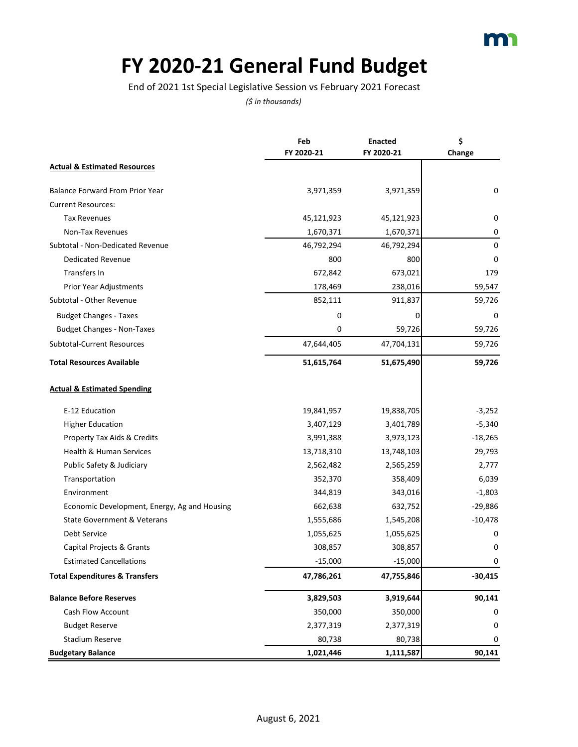# **FY 2020-21 General Fund Budget**

End of 2021 1st Special Legislative Session vs February 2021 Forecast

|                                              | Feb<br>FY 2020-21 | <b>Enacted</b><br>FY 2020-21 | \$<br>Change |
|----------------------------------------------|-------------------|------------------------------|--------------|
| <b>Actual &amp; Estimated Resources</b>      |                   |                              |              |
| <b>Balance Forward From Prior Year</b>       | 3,971,359         | 3,971,359                    | 0            |
| <b>Current Resources:</b>                    |                   |                              |              |
| <b>Tax Revenues</b>                          | 45,121,923        | 45,121,923                   | 0            |
| Non-Tax Revenues                             | 1,670,371         | 1,670,371                    | 0            |
| Subtotal - Non-Dedicated Revenue             | 46,792,294        | 46,792,294                   | 0            |
| <b>Dedicated Revenue</b>                     | 800               | 800                          | 0            |
| Transfers In                                 | 672,842           | 673,021                      | 179          |
| Prior Year Adjustments                       | 178,469           | 238,016                      | 59,547       |
| Subtotal - Other Revenue                     | 852,111           | 911,837                      | 59,726       |
| <b>Budget Changes - Taxes</b>                | 0                 | 0                            | 0            |
| <b>Budget Changes - Non-Taxes</b>            | 0                 | 59,726                       | 59,726       |
| Subtotal-Current Resources                   | 47,644,405        | 47,704,131                   | 59,726       |
| <b>Total Resources Available</b>             | 51,615,764        | 51,675,490                   | 59,726       |
| <b>Actual &amp; Estimated Spending</b>       |                   |                              |              |
| E-12 Education                               | 19,841,957        | 19,838,705                   | $-3,252$     |
| <b>Higher Education</b>                      | 3,407,129         | 3,401,789                    | $-5,340$     |
| Property Tax Aids & Credits                  | 3,991,388         | 3,973,123                    | $-18,265$    |
| Health & Human Services                      | 13,718,310        | 13,748,103                   | 29,793       |
| Public Safety & Judiciary                    | 2,562,482         | 2,565,259                    | 2,777        |
| Transportation                               | 352,370           | 358,409                      | 6,039        |
| Environment                                  | 344,819           | 343,016                      | $-1,803$     |
| Economic Development, Energy, Ag and Housing | 662,638           | 632,752                      | $-29,886$    |
| <b>State Government &amp; Veterans</b>       | 1,555,686         | 1,545,208                    | $-10,478$    |
| Debt Service                                 | 1,055,625         | 1,055,625                    | 0            |
| Capital Projects & Grants                    | 308,857           | 308,857                      | 0            |
| <b>Estimated Cancellations</b>               | $-15,000$         | $-15,000$                    | U            |
| <b>Total Expenditures &amp; Transfers</b>    | 47,786,261        | 47,755,846                   | $-30,415$    |
| <b>Balance Before Reserves</b>               | 3,829,503         | 3,919,644                    | 90,141       |
| Cash Flow Account                            | 350,000           | 350,000                      | 0            |
| <b>Budget Reserve</b>                        | 2,377,319         | 2,377,319                    | 0            |
| <b>Stadium Reserve</b>                       | 80,738            | 80,738                       | 0            |
| <b>Budgetary Balance</b>                     | 1,021,446         | 1,111,587                    | 90,141       |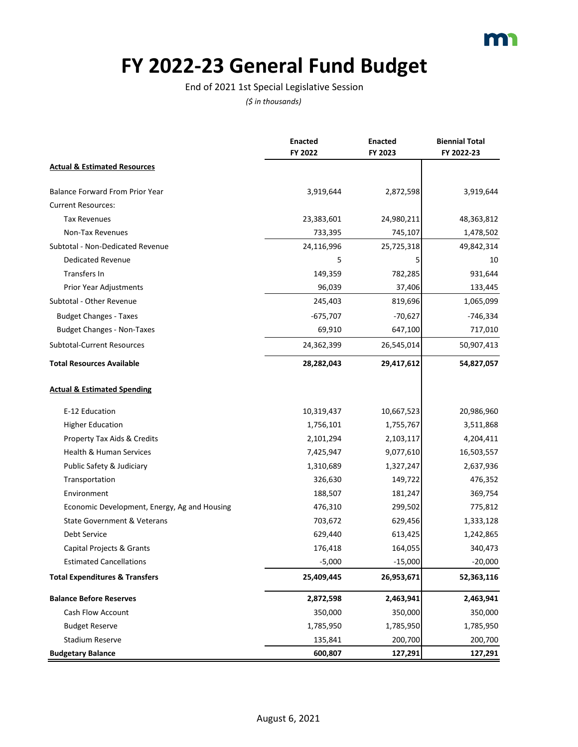### **FY 2022-23 General Fund Budget**

End of 2021 1st Special Legislative Session

|                                              | <b>Enacted</b><br>FY 2022 | <b>Enacted</b><br>FY 2023 | <b>Biennial Total</b><br>FY 2022-23 |
|----------------------------------------------|---------------------------|---------------------------|-------------------------------------|
| <b>Actual &amp; Estimated Resources</b>      |                           |                           |                                     |
| <b>Balance Forward From Prior Year</b>       | 3,919,644                 | 2,872,598                 | 3,919,644                           |
| <b>Current Resources:</b>                    |                           |                           |                                     |
| <b>Tax Revenues</b>                          | 23,383,601                | 24,980,211                | 48,363,812                          |
| Non-Tax Revenues                             | 733,395                   | 745,107                   | 1,478,502                           |
| Subtotal - Non-Dedicated Revenue             | 24,116,996                | 25,725,318                | 49,842,314                          |
| Dedicated Revenue                            | 5                         | 5                         | 10                                  |
| Transfers In                                 | 149,359                   | 782,285                   | 931,644                             |
| Prior Year Adjustments                       | 96,039                    | 37,406                    | 133,445                             |
| Subtotal - Other Revenue                     | 245,403                   | 819,696                   | 1,065,099                           |
| <b>Budget Changes - Taxes</b>                | $-675,707$                | $-70,627$                 | $-746,334$                          |
| <b>Budget Changes - Non-Taxes</b>            | 69,910                    | 647,100                   | 717,010                             |
| <b>Subtotal-Current Resources</b>            | 24,362,399                | 26,545,014                | 50,907,413                          |
| <b>Total Resources Available</b>             | 28,282,043                | 29,417,612                | 54,827,057                          |
| <b>Actual &amp; Estimated Spending</b>       |                           |                           |                                     |
| E-12 Education                               | 10,319,437                | 10,667,523                | 20,986,960                          |
| <b>Higher Education</b>                      | 1,756,101                 | 1,755,767                 | 3,511,868                           |
| Property Tax Aids & Credits                  | 2,101,294                 | 2,103,117                 | 4,204,411                           |
| Health & Human Services                      | 7,425,947                 | 9,077,610                 | 16,503,557                          |
| Public Safety & Judiciary                    | 1,310,689                 | 1,327,247                 | 2,637,936                           |
| Transportation                               | 326,630                   | 149,722                   | 476,352                             |
| Environment                                  | 188,507                   | 181,247                   | 369,754                             |
| Economic Development, Energy, Ag and Housing | 476,310                   | 299,502                   | 775,812                             |
| State Government & Veterans                  | 703,672                   | 629,456                   | 1,333,128                           |
| Debt Service                                 | 629,440                   | 613,425                   | 1,242,865                           |
| Capital Projects & Grants                    | 176,418                   | 164,055                   | 340,473                             |
| <b>Estimated Cancellations</b>               | $-5,000$                  | $-15,000$                 | $-20,000$                           |
| <b>Total Expenditures &amp; Transfers</b>    | 25,409,445                | 26,953,671                | 52,363,116                          |
| <b>Balance Before Reserves</b>               | 2,872,598                 | 2,463,941                 | 2,463,941                           |
| Cash Flow Account                            | 350,000                   | 350,000                   | 350,000                             |
| <b>Budget Reserve</b>                        | 1,785,950                 | 1,785,950                 | 1,785,950                           |
| <b>Stadium Reserve</b>                       | 135,841                   | 200,700                   | 200,700                             |
| <b>Budgetary Balance</b>                     | 600,807                   | 127,291                   | 127,291                             |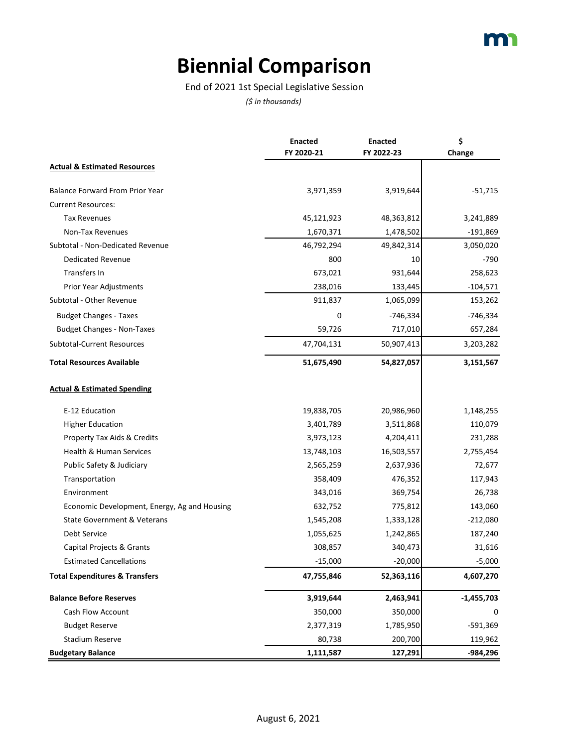## **Biennial Comparison**

End of 2021 1st Special Legislative Session

|                                              | <b>Enacted</b> | <b>Enacted</b> | \$           |
|----------------------------------------------|----------------|----------------|--------------|
|                                              | FY 2020-21     | FY 2022-23     | Change       |
| <b>Actual &amp; Estimated Resources</b>      |                |                |              |
| <b>Balance Forward From Prior Year</b>       | 3,971,359      | 3,919,644      | $-51,715$    |
| <b>Current Resources:</b>                    |                |                |              |
| <b>Tax Revenues</b>                          | 45,121,923     | 48,363,812     | 3,241,889    |
| Non-Tax Revenues                             | 1,670,371      | 1,478,502      | $-191,869$   |
| Subtotal - Non-Dedicated Revenue             | 46,792,294     | 49,842,314     | 3,050,020    |
| <b>Dedicated Revenue</b>                     | 800            | 10             | $-790$       |
| Transfers In                                 | 673,021        | 931,644        | 258,623      |
| Prior Year Adjustments                       | 238,016        | 133,445        | $-104,571$   |
| Subtotal - Other Revenue                     | 911,837        | 1,065,099      | 153,262      |
| <b>Budget Changes - Taxes</b>                | 0              | $-746,334$     | $-746,334$   |
| <b>Budget Changes - Non-Taxes</b>            | 59,726         | 717,010        | 657,284      |
| Subtotal-Current Resources                   | 47,704,131     | 50,907,413     | 3,203,282    |
| <b>Total Resources Available</b>             | 51,675,490     | 54,827,057     | 3,151,567    |
| <b>Actual &amp; Estimated Spending</b>       |                |                |              |
| E-12 Education                               | 19,838,705     | 20,986,960     | 1,148,255    |
| <b>Higher Education</b>                      | 3,401,789      | 3,511,868      | 110,079      |
| Property Tax Aids & Credits                  | 3,973,123      | 4,204,411      | 231,288      |
| <b>Health &amp; Human Services</b>           | 13,748,103     | 16,503,557     | 2,755,454    |
| Public Safety & Judiciary                    | 2,565,259      | 2,637,936      | 72,677       |
| Transportation                               | 358,409        | 476,352        | 117,943      |
| Environment                                  | 343,016        | 369,754        | 26,738       |
| Economic Development, Energy, Ag and Housing | 632,752        | 775,812        | 143,060      |
| State Government & Veterans                  | 1,545,208      | 1,333,128      | $-212,080$   |
| Debt Service                                 | 1,055,625      | 1,242,865      | 187,240      |
| Capital Projects & Grants                    | 308,857        | 340,473        | 31,616       |
| <b>Estimated Cancellations</b>               | $-15,000$      | $-20,000$      | $-5,000$     |
| <b>Total Expenditures &amp; Transfers</b>    | 47,755,846     | 52,363,116     | 4,607,270    |
| <b>Balance Before Reserves</b>               | 3,919,644      | 2,463,941      | $-1,455,703$ |
| Cash Flow Account                            | 350,000        | 350,000        | 0            |
| <b>Budget Reserve</b>                        | 2,377,319      | 1,785,950      | -591,369     |
| <b>Stadium Reserve</b>                       | 80,738         | 200,700        | 119,962      |
| <b>Budgetary Balance</b>                     | 1,111,587      | 127,291        | -984,296     |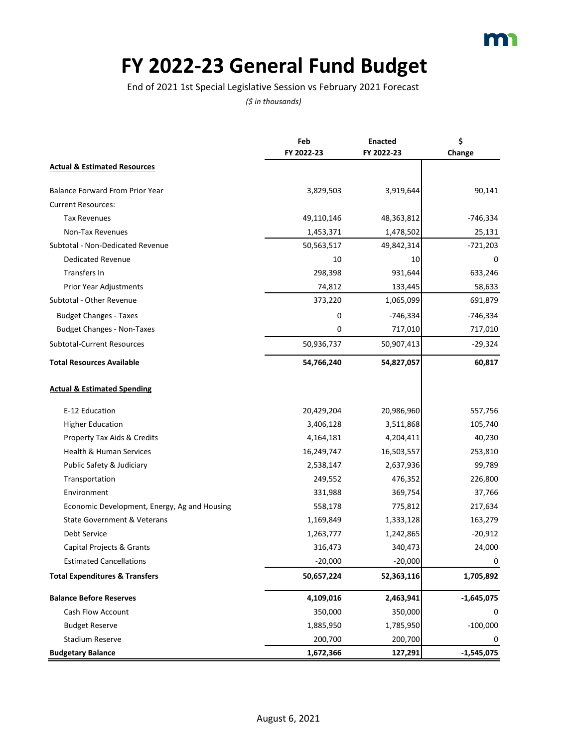# **FY 2022-23 General Fund Budget**

End of 2021 1st Special Legislative Session vs February 2021 Forecast

|                                              | Feb        | <b>Enacted</b> | \$           |
|----------------------------------------------|------------|----------------|--------------|
|                                              | FY 2022-23 | FY 2022-23     | Change       |
| <b>Actual &amp; Estimated Resources</b>      |            |                |              |
| <b>Balance Forward From Prior Year</b>       | 3,829,503  | 3,919,644      | 90,141       |
| <b>Current Resources:</b>                    |            |                |              |
| <b>Tax Revenues</b>                          | 49,110,146 | 48,363,812     | $-746,334$   |
| Non-Tax Revenues                             | 1,453,371  | 1,478,502      | 25,131       |
| Subtotal - Non-Dedicated Revenue             | 50,563,517 | 49,842,314     | $-721,203$   |
| <b>Dedicated Revenue</b>                     | 10         | 10             | 0            |
| Transfers In                                 | 298,398    | 931,644        | 633,246      |
| Prior Year Adjustments                       | 74,812     | 133,445        | 58,633       |
| Subtotal - Other Revenue                     | 373,220    | 1,065,099      | 691,879      |
| <b>Budget Changes - Taxes</b>                | 0          | $-746,334$     | $-746,334$   |
| <b>Budget Changes - Non-Taxes</b>            | 0          | 717,010        | 717,010      |
| Subtotal-Current Resources                   | 50,936,737 | 50,907,413     | $-29,324$    |
| <b>Total Resources Available</b>             | 54,766,240 | 54,827,057     | 60,817       |
| <b>Actual &amp; Estimated Spending</b>       |            |                |              |
| E-12 Education                               | 20,429,204 | 20,986,960     | 557,756      |
| <b>Higher Education</b>                      | 3,406,128  | 3,511,868      | 105,740      |
| Property Tax Aids & Credits                  | 4,164,181  | 4,204,411      | 40,230       |
| Health & Human Services                      | 16,249,747 | 16,503,557     | 253,810      |
| Public Safety & Judiciary                    | 2,538,147  | 2,637,936      | 99,789       |
| Transportation                               | 249,552    | 476,352        | 226,800      |
| Environment                                  | 331,988    | 369,754        | 37,766       |
| Economic Development, Energy, Ag and Housing | 558,178    | 775,812        | 217,634      |
| State Government & Veterans                  | 1,169,849  | 1,333,128      | 163,279      |
| Debt Service                                 | 1,263,777  | 1,242,865      | $-20,912$    |
| Capital Projects & Grants                    | 316,473    | 340,473        | 24,000       |
| <b>Estimated Cancellations</b>               | $-20,000$  | $-20,000$      | 0            |
| <b>Total Expenditures &amp; Transfers</b>    | 50,657,224 | 52,363,116     | 1,705,892    |
| <b>Balance Before Reserves</b>               | 4,109,016  | 2,463,941      | $-1,645,075$ |
| <b>Cash Flow Account</b>                     | 350,000    | 350,000        | 0            |
| <b>Budget Reserve</b>                        | 1,885,950  | 1,785,950      | $-100,000$   |
| Stadium Reserve                              | 200,700    | 200,700        | 0            |
| <b>Budgetary Balance</b>                     | 1,672,366  | 127,291        | $-1,545,075$ |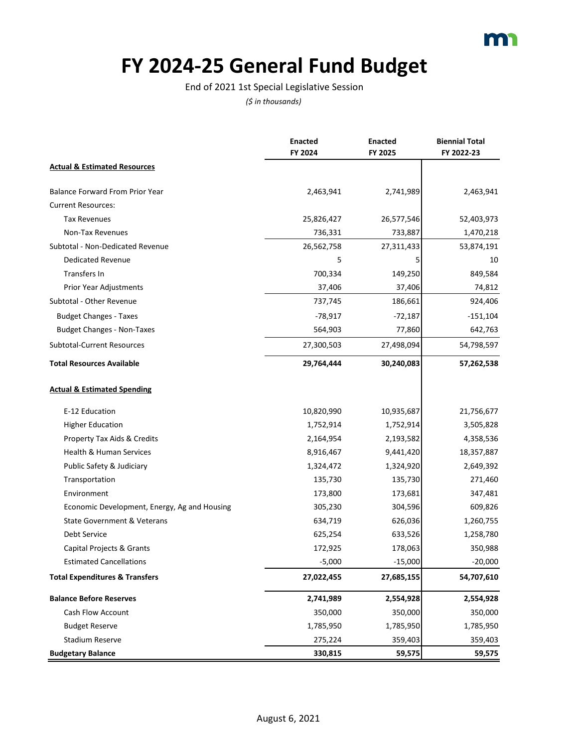

#### **FY 2024-25 General Fund Budget**

End of 2021 1st Special Legislative Session

|                                              | <b>Enacted</b> | <b>Enacted</b> | <b>Biennial Total</b> |
|----------------------------------------------|----------------|----------------|-----------------------|
|                                              | FY 2024        | FY 2025        | FY 2022-23            |
| <b>Actual &amp; Estimated Resources</b>      |                |                |                       |
| <b>Balance Forward From Prior Year</b>       | 2,463,941      | 2,741,989      | 2,463,941             |
| <b>Current Resources:</b>                    |                |                |                       |
| <b>Tax Revenues</b>                          | 25,826,427     | 26,577,546     | 52,403,973            |
| Non-Tax Revenues                             | 736,331        | 733,887        | 1,470,218             |
| Subtotal - Non-Dedicated Revenue             | 26,562,758     | 27,311,433     | 53,874,191            |
| Dedicated Revenue                            | 5              | 5              | 10                    |
| Transfers In                                 | 700,334        | 149,250        | 849,584               |
| Prior Year Adjustments                       | 37,406         | 37,406         | 74,812                |
| Subtotal - Other Revenue                     | 737,745        | 186,661        | 924,406               |
| <b>Budget Changes - Taxes</b>                | $-78,917$      | $-72,187$      | $-151,104$            |
| <b>Budget Changes - Non-Taxes</b>            | 564,903        | 77,860         | 642,763               |
| <b>Subtotal-Current Resources</b>            | 27,300,503     | 27,498,094     | 54,798,597            |
| <b>Total Resources Available</b>             | 29,764,444     | 30,240,083     | 57,262,538            |
| <b>Actual &amp; Estimated Spending</b>       |                |                |                       |
| E-12 Education                               | 10,820,990     | 10,935,687     | 21,756,677            |
| <b>Higher Education</b>                      | 1,752,914      | 1,752,914      | 3,505,828             |
| Property Tax Aids & Credits                  | 2,164,954      | 2,193,582      | 4,358,536             |
| Health & Human Services                      | 8,916,467      | 9,441,420      | 18,357,887            |
| Public Safety & Judiciary                    | 1,324,472      | 1,324,920      | 2,649,392             |
| Transportation                               | 135,730        | 135,730        | 271,460               |
| Environment                                  | 173,800        | 173,681        | 347,481               |
| Economic Development, Energy, Ag and Housing | 305,230        | 304,596        | 609,826               |
| <b>State Government &amp; Veterans</b>       | 634,719        | 626,036        | 1,260,755             |
| Debt Service                                 | 625,254        | 633,526        | 1,258,780             |
| Capital Projects & Grants                    | 172,925        | 178,063        | 350,988               |
| <b>Estimated Cancellations</b>               | $-5,000$       | $-15,000$      | $-20,000$             |
| <b>Total Expenditures &amp; Transfers</b>    | 27,022,455     | 27,685,155     | 54,707,610            |
| <b>Balance Before Reserves</b>               | 2,741,989      | 2,554,928      | 2,554,928             |
| <b>Cash Flow Account</b>                     | 350,000        | 350,000        | 350,000               |
| <b>Budget Reserve</b>                        | 1,785,950      | 1,785,950      | 1,785,950             |
| <b>Stadium Reserve</b>                       | 275,224        | 359,403        | 359,403               |
| <b>Budgetary Balance</b>                     | 330,815        | 59,575         | 59,575                |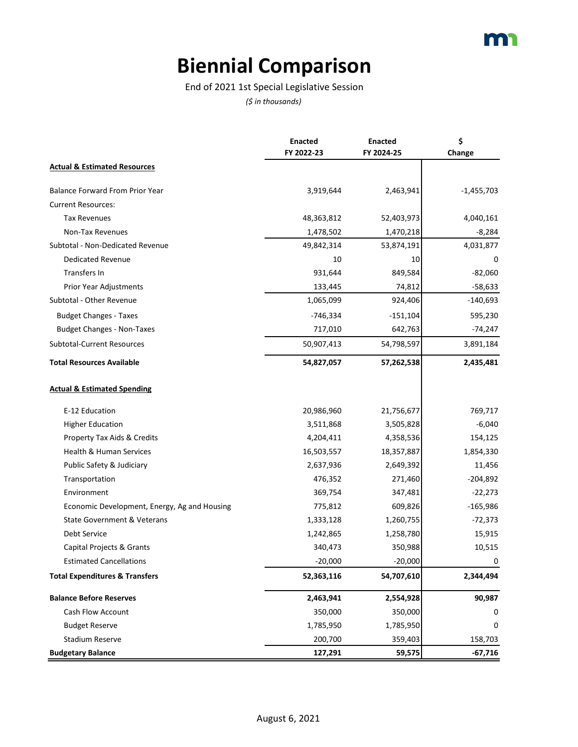## **Biennial Comparison**

End of 2021 1st Special Legislative Session

|                                              | <b>Enacted</b><br>FY 2022-23 | <b>Enacted</b><br>FY 2024-25 | \$           |
|----------------------------------------------|------------------------------|------------------------------|--------------|
|                                              |                              |                              | Change       |
| <b>Actual &amp; Estimated Resources</b>      |                              |                              |              |
| <b>Balance Forward From Prior Year</b>       | 3,919,644                    | 2,463,941                    | $-1,455,703$ |
| <b>Current Resources:</b>                    |                              |                              |              |
| <b>Tax Revenues</b>                          | 48,363,812                   | 52,403,973                   | 4,040,161    |
| Non-Tax Revenues                             | 1,478,502                    | 1,470,218                    | $-8,284$     |
| Subtotal - Non-Dedicated Revenue             | 49,842,314                   | 53,874,191                   | 4,031,877    |
| <b>Dedicated Revenue</b>                     | 10                           | 10                           | 0            |
| Transfers In                                 | 931,644                      | 849,584                      | $-82,060$    |
| Prior Year Adjustments                       | 133,445                      | 74,812                       | $-58,633$    |
| Subtotal - Other Revenue                     | 1,065,099                    | 924,406                      | $-140,693$   |
| <b>Budget Changes - Taxes</b>                | $-746,334$                   | $-151,104$                   | 595,230      |
| <b>Budget Changes - Non-Taxes</b>            | 717,010                      | 642,763                      | $-74,247$    |
| Subtotal-Current Resources                   | 50,907,413                   | 54,798,597                   | 3,891,184    |
| <b>Total Resources Available</b>             | 54,827,057                   | 57,262,538                   | 2,435,481    |
| <b>Actual &amp; Estimated Spending</b>       |                              |                              |              |
| E-12 Education                               | 20,986,960                   | 21,756,677                   | 769,717      |
| <b>Higher Education</b>                      | 3,511,868                    | 3,505,828                    | $-6,040$     |
| Property Tax Aids & Credits                  | 4,204,411                    | 4,358,536                    | 154,125      |
| <b>Health &amp; Human Services</b>           | 16,503,557                   | 18,357,887                   | 1,854,330    |
| Public Safety & Judiciary                    | 2,637,936                    | 2,649,392                    | 11,456       |
| Transportation                               | 476,352                      | 271,460                      | $-204,892$   |
| Environment                                  | 369,754                      | 347,481                      | $-22,273$    |
| Economic Development, Energy, Ag and Housing | 775,812                      | 609,826                      | $-165,986$   |
| State Government & Veterans                  | 1,333,128                    | 1,260,755                    | $-72,373$    |
| Debt Service                                 | 1,242,865                    | 1,258,780                    | 15,915       |
| Capital Projects & Grants                    | 340,473                      | 350,988                      | 10,515       |
| <b>Estimated Cancellations</b>               | $-20,000$                    | $-20,000$                    | 0            |
| <b>Total Expenditures &amp; Transfers</b>    | 52,363,116                   | 54,707,610                   | 2,344,494    |
| <b>Balance Before Reserves</b>               | 2,463,941                    | 2,554,928                    | 90,987       |
| Cash Flow Account                            | 350,000                      | 350,000                      | 0            |
| <b>Budget Reserve</b>                        | 1,785,950                    | 1,785,950                    | 0            |
| <b>Stadium Reserve</b>                       | 200,700                      | 359,403                      | 158,703      |
| <b>Budgetary Balance</b>                     | 127,291                      | 59,575                       | $-67,716$    |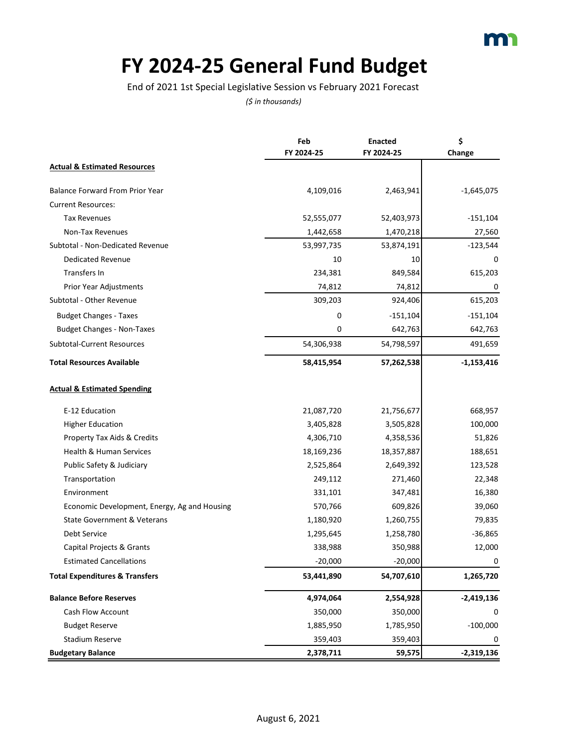# **FY 2024-25 General Fund Budget**

End of 2021 1st Special Legislative Session vs February 2021 Forecast

|                                              | Feb        | <b>Enacted</b><br>FY 2024-25 | \$           |
|----------------------------------------------|------------|------------------------------|--------------|
|                                              | FY 2024-25 |                              | Change       |
| <b>Actual &amp; Estimated Resources</b>      |            |                              |              |
| <b>Balance Forward From Prior Year</b>       | 4,109,016  | 2,463,941                    | $-1,645,075$ |
| <b>Current Resources:</b>                    |            |                              |              |
| <b>Tax Revenues</b>                          | 52,555,077 | 52,403,973                   | $-151,104$   |
| Non-Tax Revenues                             | 1,442,658  | 1,470,218                    | 27,560       |
| Subtotal - Non-Dedicated Revenue             | 53,997,735 | 53,874,191                   | $-123,544$   |
| <b>Dedicated Revenue</b>                     | 10         | 10                           | 0            |
| Transfers In                                 | 234,381    | 849,584                      | 615,203      |
| Prior Year Adjustments                       | 74,812     | 74,812                       | 0            |
| Subtotal - Other Revenue                     | 309,203    | 924,406                      | 615,203      |
| <b>Budget Changes - Taxes</b>                | 0          | $-151,104$                   | $-151,104$   |
| <b>Budget Changes - Non-Taxes</b>            | 0          | 642,763                      | 642,763      |
| Subtotal-Current Resources                   | 54,306,938 | 54,798,597                   | 491,659      |
| <b>Total Resources Available</b>             | 58,415,954 | 57,262,538                   | $-1,153,416$ |
| <b>Actual &amp; Estimated Spending</b>       |            |                              |              |
| E-12 Education                               | 21,087,720 | 21,756,677                   | 668,957      |
| <b>Higher Education</b>                      | 3,405,828  | 3,505,828                    | 100,000      |
| Property Tax Aids & Credits                  | 4,306,710  | 4,358,536                    | 51,826       |
| Health & Human Services                      | 18,169,236 | 18,357,887                   | 188,651      |
| Public Safety & Judiciary                    | 2,525,864  | 2,649,392                    | 123,528      |
| Transportation                               | 249,112    | 271,460                      | 22,348       |
| Environment                                  | 331,101    | 347,481                      | 16,380       |
| Economic Development, Energy, Ag and Housing | 570,766    | 609,826                      | 39,060       |
| State Government & Veterans                  | 1,180,920  | 1,260,755                    | 79,835       |
| Debt Service                                 | 1,295,645  | 1,258,780                    | $-36,865$    |
| Capital Projects & Grants                    | 338,988    | 350,988                      | 12,000       |
| <b>Estimated Cancellations</b>               | $-20,000$  | $-20,000$                    | 0            |
| <b>Total Expenditures &amp; Transfers</b>    | 53,441,890 | 54,707,610                   | 1,265,720    |
| <b>Balance Before Reserves</b>               | 4,974,064  | 2,554,928                    | $-2,419,136$ |
| Cash Flow Account                            | 350,000    | 350,000                      | 0            |
| <b>Budget Reserve</b>                        | 1,885,950  | 1,785,950                    | $-100,000$   |
| <b>Stadium Reserve</b>                       | 359,403    | 359,403                      | 0            |
| <b>Budgetary Balance</b>                     | 2,378,711  | 59,575                       | $-2,319,136$ |